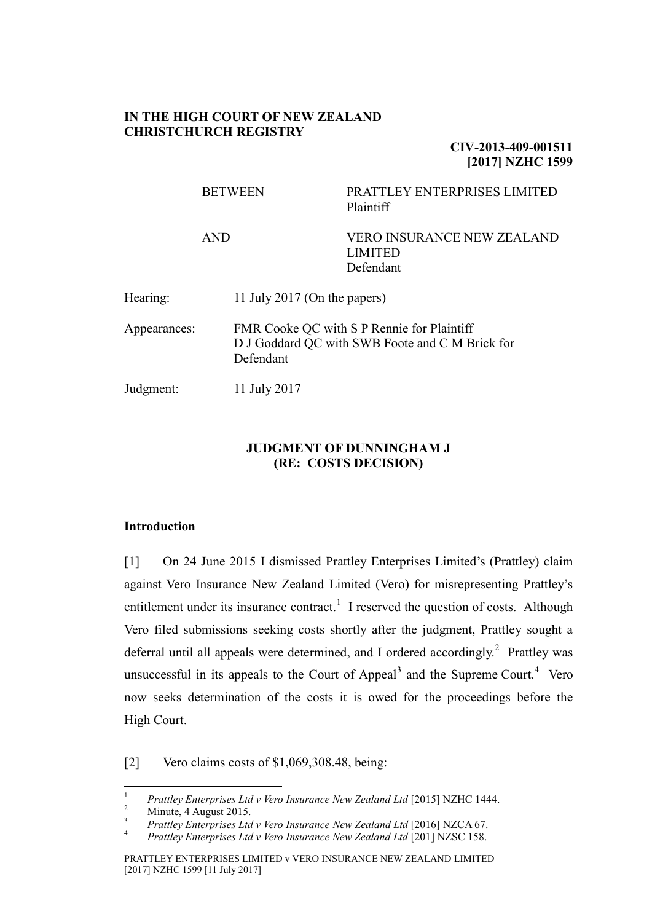#### **IN THE HIGH COURT OF NEW ZEALAND CHRISTCHURCH REGISTRY**

**CIV-2013-409-001511 [2017] NZHC 1599**

|              | <b>BETWEEN</b> |                              | PRATTLEY ENTERPRISES LIMITED<br>Plaintiff                                                     |  |  |  |
|--------------|----------------|------------------------------|-----------------------------------------------------------------------------------------------|--|--|--|
|              | <b>AND</b>     |                              | <b>VERO INSURANCE NEW ZEALAND</b><br><b>LIMITED</b><br>Defendant                              |  |  |  |
| Hearing:     |                | 11 July 2017 (On the papers) |                                                                                               |  |  |  |
| Appearances: |                | Defendant                    | FMR Cooke QC with S P Rennie for Plaintiff<br>D J Goddard QC with SWB Foote and C M Brick for |  |  |  |
| Judgment:    |                | 11 July 2017                 |                                                                                               |  |  |  |

### **JUDGMENT OF DUNNINGHAM J (RE: COSTS DECISION)**

### **Introduction**

[1] On 24 June 2015 I dismissed Prattley Enterprises Limited's (Prattley) claim against Vero Insurance New Zealand Limited (Vero) for misrepresenting Prattley's entitlement under its insurance contract.<sup>1</sup> I reserved the question of costs. Although Vero filed submissions seeking costs shortly after the judgment, Prattley sought a deferral until all appeals were determined, and I ordered accordingly.<sup>2</sup> Prattley was unsuccessful in its appeals to the Court of Appeal<sup>3</sup> and the Supreme Court.<sup>4</sup> Vero now seeks determination of the costs it is owed for the proceedings before the High Court.

[2] Vero claims costs of \$1,069,308.48, being:

 $\,1\,$ <sup>1</sup> *Prattley Enterprises Ltd v Vero Insurance New Zealand Ltd* [2015] NZHC 1444.

 $\frac{2}{3}$  Minute, 4 August 2015.

<sup>&</sup>lt;sup>3</sup> *Prattley Enterprises Ltd v Vero Insurance New Zealand Ltd* [2016] NZCA 67.

<sup>4</sup> *Prattley Enterprises Ltd v Vero Insurance New Zealand Ltd* [201] NZSC 158.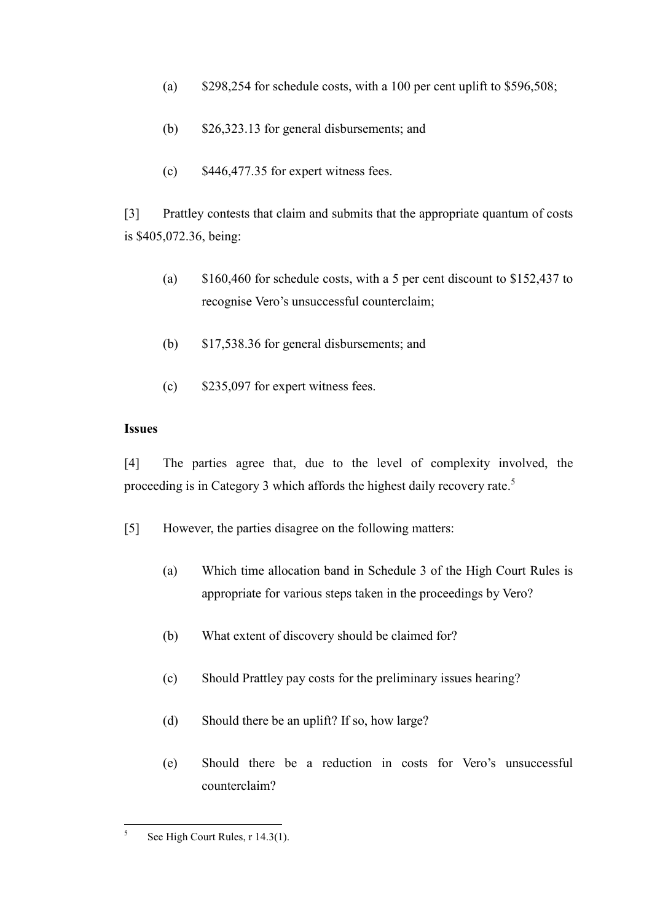- (a)  $$298,254$  for schedule costs, with a 100 per cent uplift to \$596,508;
- (b) \$26,323.13 for general disbursements; and
- $\text{(c)}$  \$446,477.35 for expert witness fees.

[3] Prattley contests that claim and submits that the appropriate quantum of costs is \$405,072.36, being:

- (a) \$160,460 for schedule costs, with a 5 per cent discount to \$152,437 to recognise Vero's unsuccessful counterclaim;
- (b) \$17,538.36 for general disbursements; and
- (c) \$235,097 for expert witness fees.

### **Issues**

[4] The parties agree that, due to the level of complexity involved, the proceeding is in Category 3 which affords the highest daily recovery rate.<sup>5</sup>

- [5] However, the parties disagree on the following matters:
	- (a) Which time allocation band in Schedule 3 of the High Court Rules is appropriate for various steps taken in the proceedings by Vero?
	- (b) What extent of discovery should be claimed for?
	- (c) Should Prattley pay costs for the preliminary issues hearing?
	- (d) Should there be an uplift? If so, how large?
	- (e) Should there be a reduction in costs for Vero's unsuccessful counterclaim?

 $\frac{1}{5}$ See High Court Rules, r 14.3(1).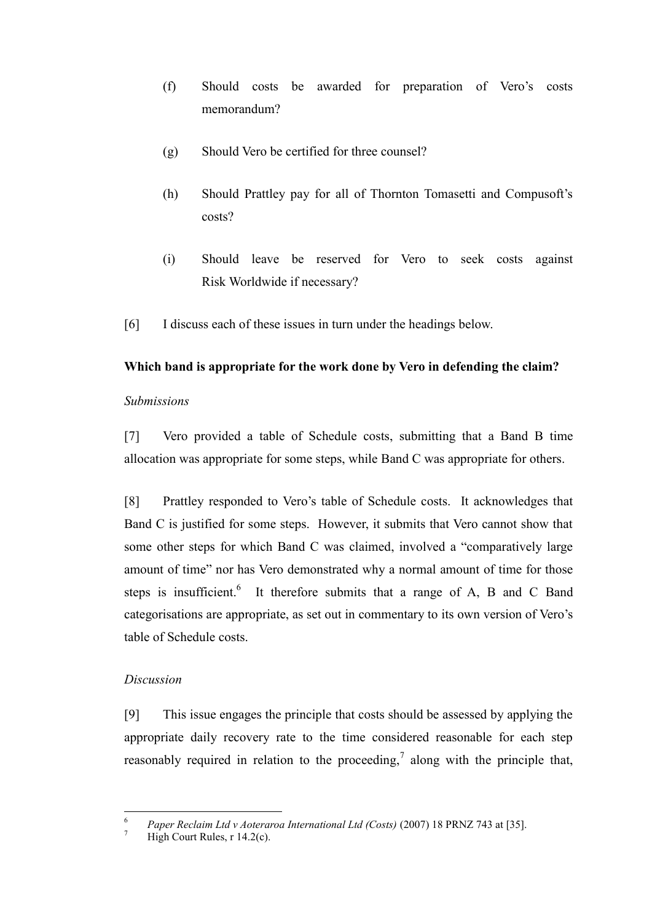- (f) Should costs be awarded for preparation of Vero's costs memorandum?
- (g) Should Vero be certified for three counsel?
- (h) Should Prattley pay for all of Thornton Tomasetti and Compusoft's costs?
- (i) Should leave be reserved for Vero to seek costs against Risk Worldwide if necessary?
- [6] I discuss each of these issues in turn under the headings below.

# **Which band is appropriate for the work done by Vero in defending the claim?**

### *Submissions*

[7] Vero provided a table of Schedule costs, submitting that a Band B time allocation was appropriate for some steps, while Band C was appropriate for others.

[8] Prattley responded to Vero's table of Schedule costs. It acknowledges that Band C is justified for some steps. However, it submits that Vero cannot show that some other steps for which Band C was claimed, involved a "comparatively large amount of time" nor has Vero demonstrated why a normal amount of time for those steps is insufficient.<sup>6</sup> It therefore submits that a range of A, B and C Band categorisations are appropriate, as set out in commentary to its own version of Vero's table of Schedule costs.

# *Discussion*

[9] This issue engages the principle that costs should be assessed by applying the appropriate daily recovery rate to the time considered reasonable for each step reasonably required in relation to the proceeding, along with the principle that,

<sup>6</sup> <sup>6</sup> *Paper Reclaim Ltd v Aoteraroa International Ltd (Costs)* (2007) 18 PRNZ 743 at [35].

High Court Rules,  $r$  14.2(c).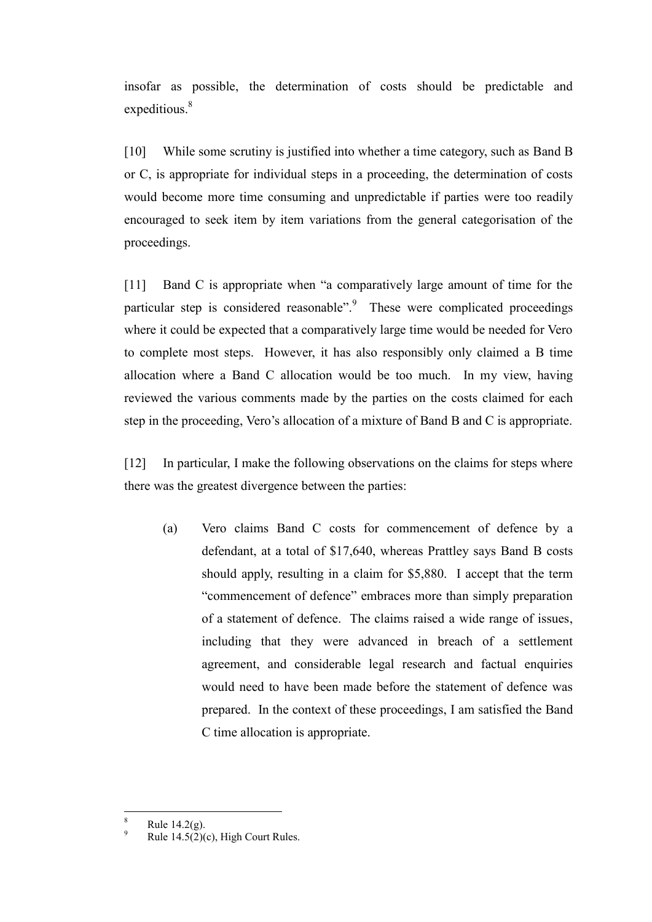insofar as possible, the determination of costs should be predictable and expeditious.<sup>8</sup>

[10] While some scrutiny is justified into whether a time category, such as Band B or C, is appropriate for individual steps in a proceeding, the determination of costs would become more time consuming and unpredictable if parties were too readily encouraged to seek item by item variations from the general categorisation of the proceedings.

[11] Band C is appropriate when "a comparatively large amount of time for the particular step is considered reasonable".<sup>9</sup> These were complicated proceedings where it could be expected that a comparatively large time would be needed for Vero to complete most steps. However, it has also responsibly only claimed a B time allocation where a Band C allocation would be too much. In my view, having reviewed the various comments made by the parties on the costs claimed for each step in the proceeding, Vero's allocation of a mixture of Band B and C is appropriate.

[12] In particular, I make the following observations on the claims for steps where there was the greatest divergence between the parties:

(a) Vero claims Band C costs for commencement of defence by a defendant, at a total of \$17,640, whereas Prattley says Band B costs should apply, resulting in a claim for \$5,880. I accept that the term "commencement of defence" embraces more than simply preparation of a statement of defence. The claims raised a wide range of issues, including that they were advanced in breach of a settlement agreement, and considerable legal research and factual enquiries would need to have been made before the statement of defence was prepared. In the context of these proceedings, I am satisfied the Band C time allocation is appropriate.

 $\overline{a}$ 

Rule  $14.2(g)$ .

Rule  $14.5(2)(c)$ , High Court Rules.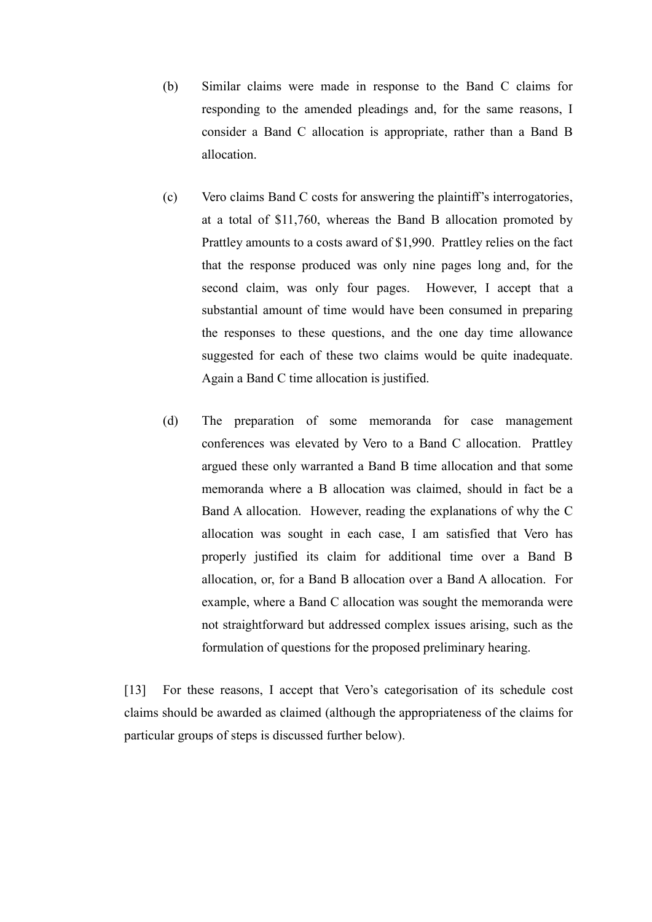- (b) Similar claims were made in response to the Band C claims for responding to the amended pleadings and, for the same reasons, I consider a Band C allocation is appropriate, rather than a Band B allocation.
- (c) Vero claims Band C costs for answering the plaintiff's interrogatories, at a total of \$11,760, whereas the Band B allocation promoted by Prattley amounts to a costs award of \$1,990. Prattley relies on the fact that the response produced was only nine pages long and, for the second claim, was only four pages. However, I accept that a substantial amount of time would have been consumed in preparing the responses to these questions, and the one day time allowance suggested for each of these two claims would be quite inadequate. Again a Band C time allocation is justified.
- (d) The preparation of some memoranda for case management conferences was elevated by Vero to a Band C allocation. Prattley argued these only warranted a Band B time allocation and that some memoranda where a B allocation was claimed, should in fact be a Band A allocation. However, reading the explanations of why the C allocation was sought in each case, I am satisfied that Vero has properly justified its claim for additional time over a Band B allocation, or, for a Band B allocation over a Band A allocation. For example, where a Band C allocation was sought the memoranda were not straightforward but addressed complex issues arising, such as the formulation of questions for the proposed preliminary hearing.

[13] For these reasons, I accept that Vero's categorisation of its schedule cost claims should be awarded as claimed (although the appropriateness of the claims for particular groups of steps is discussed further below).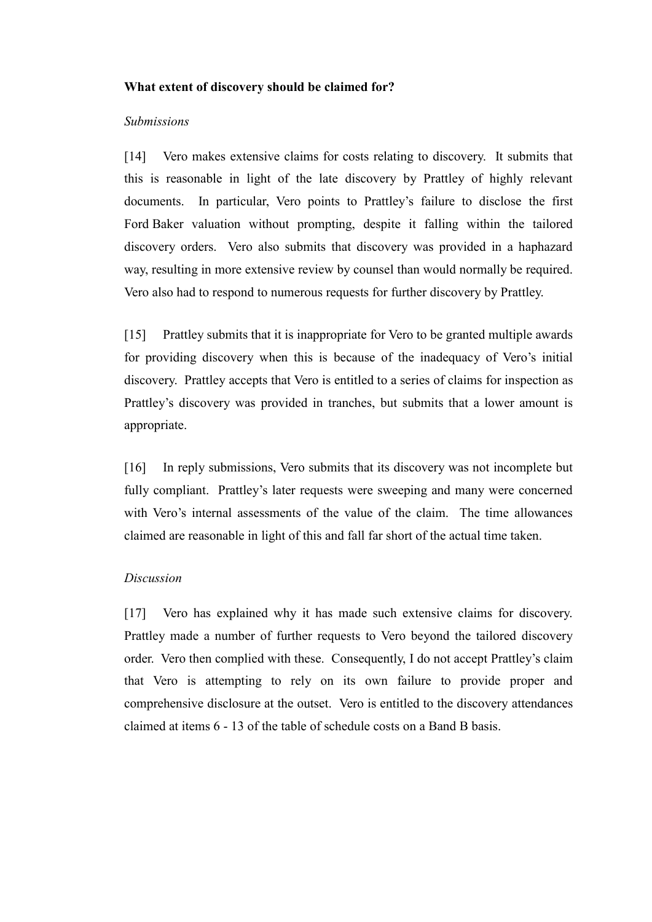#### **What extent of discovery should be claimed for?**

#### *Submissions*

[14] Vero makes extensive claims for costs relating to discovery. It submits that this is reasonable in light of the late discovery by Prattley of highly relevant documents. In particular, Vero points to Prattley's failure to disclose the first Ford Baker valuation without prompting, despite it falling within the tailored discovery orders. Vero also submits that discovery was provided in a haphazard way, resulting in more extensive review by counsel than would normally be required. Vero also had to respond to numerous requests for further discovery by Prattley.

[15] Prattley submits that it is inappropriate for Vero to be granted multiple awards for providing discovery when this is because of the inadequacy of Vero's initial discovery. Prattley accepts that Vero is entitled to a series of claims for inspection as Prattley's discovery was provided in tranches, but submits that a lower amount is appropriate.

[16] In reply submissions, Vero submits that its discovery was not incomplete but fully compliant. Prattley's later requests were sweeping and many were concerned with Vero's internal assessments of the value of the claim. The time allowances claimed are reasonable in light of this and fall far short of the actual time taken.

### *Discussion*

[17] Vero has explained why it has made such extensive claims for discovery. Prattley made a number of further requests to Vero beyond the tailored discovery order. Vero then complied with these. Consequently, I do not accept Prattley's claim that Vero is attempting to rely on its own failure to provide proper and comprehensive disclosure at the outset. Vero is entitled to the discovery attendances claimed at items 6 - 13 of the table of schedule costs on a Band B basis.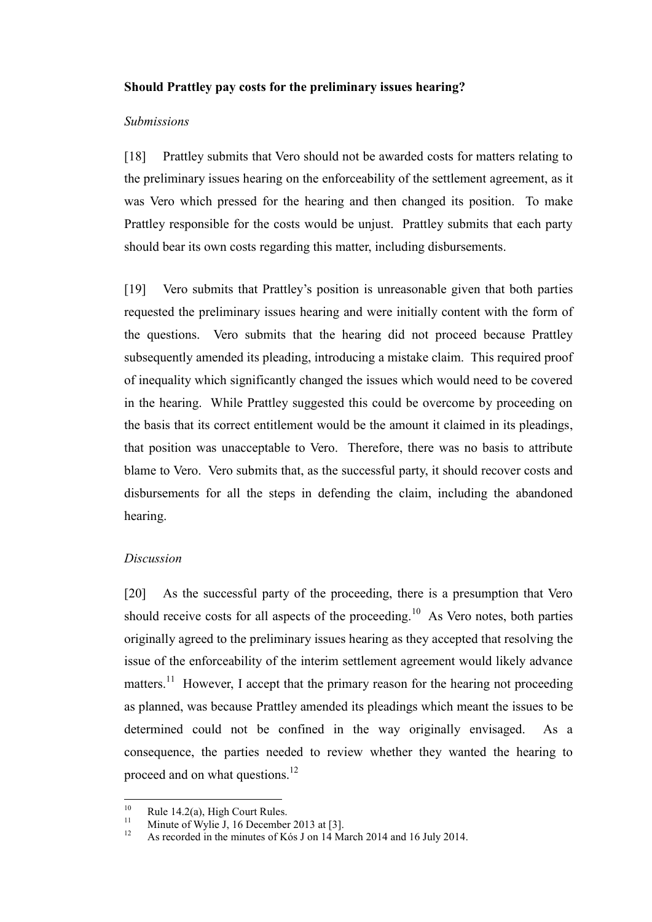#### **Should Prattley pay costs for the preliminary issues hearing?**

#### *Submissions*

[18] Prattley submits that Vero should not be awarded costs for matters relating to the preliminary issues hearing on the enforceability of the settlement agreement, as it was Vero which pressed for the hearing and then changed its position. To make Prattley responsible for the costs would be unjust. Prattley submits that each party should bear its own costs regarding this matter, including disbursements.

[19] Vero submits that Prattley's position is unreasonable given that both parties requested the preliminary issues hearing and were initially content with the form of the questions. Vero submits that the hearing did not proceed because Prattley subsequently amended its pleading, introducing a mistake claim. This required proof of inequality which significantly changed the issues which would need to be covered in the hearing. While Prattley suggested this could be overcome by proceeding on the basis that its correct entitlement would be the amount it claimed in its pleadings, that position was unacceptable to Vero. Therefore, there was no basis to attribute blame to Vero. Vero submits that, as the successful party, it should recover costs and disbursements for all the steps in defending the claim, including the abandoned hearing.

### *Discussion*

[20] As the successful party of the proceeding, there is a presumption that Vero should receive costs for all aspects of the proceeding.<sup>10</sup> As Vero notes, both parties originally agreed to the preliminary issues hearing as they accepted that resolving the issue of the enforceability of the interim settlement agreement would likely advance matters.<sup>11</sup> However, I accept that the primary reason for the hearing not proceeding as planned, was because Prattley amended its pleadings which meant the issues to be determined could not be confined in the way originally envisaged. As a consequence, the parties needed to review whether they wanted the hearing to proceed and on what questions.<sup>12</sup>

 $10$ <sup>10</sup> Rule 14.2(a), High Court Rules.

<sup>&</sup>lt;sup>11</sup> Minute of Wylie J, 16 December 2013 at [3].

<sup>12</sup> As recorded in the minutes of Kós J on 14 March 2014 and 16 July 2014.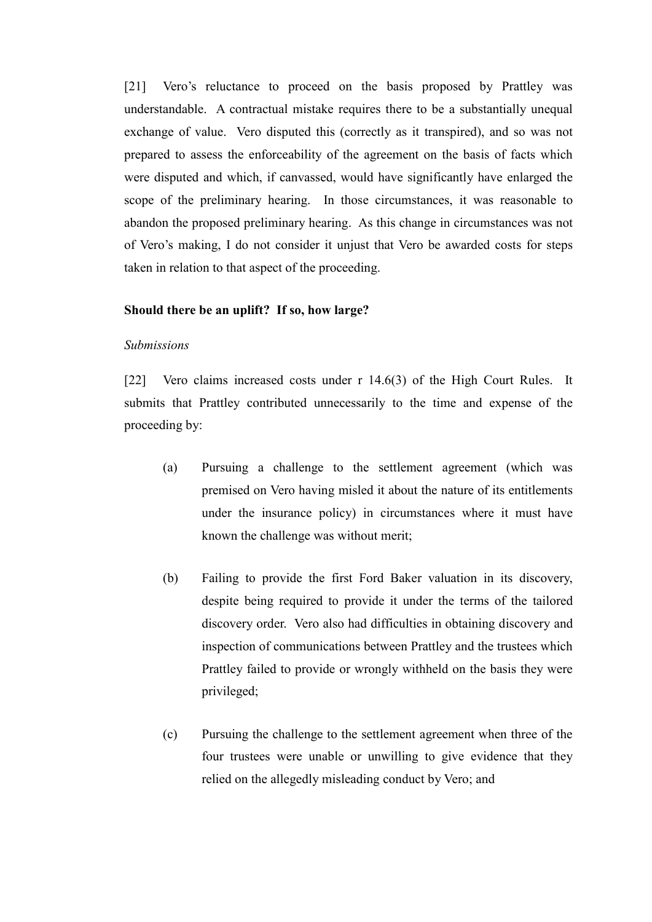[21] Vero's reluctance to proceed on the basis proposed by Prattley was understandable. A contractual mistake requires there to be a substantially unequal exchange of value. Vero disputed this (correctly as it transpired), and so was not prepared to assess the enforceability of the agreement on the basis of facts which were disputed and which, if canvassed, would have significantly have enlarged the scope of the preliminary hearing. In those circumstances, it was reasonable to abandon the proposed preliminary hearing. As this change in circumstances was not of Vero's making, I do not consider it unjust that Vero be awarded costs for steps taken in relation to that aspect of the proceeding.

#### **Should there be an uplift? If so, how large?**

#### *Submissions*

[22] Vero claims increased costs under r 14.6(3) of the High Court Rules. It submits that Prattley contributed unnecessarily to the time and expense of the proceeding by:

- (a) Pursuing a challenge to the settlement agreement (which was premised on Vero having misled it about the nature of its entitlements under the insurance policy) in circumstances where it must have known the challenge was without merit;
- (b) Failing to provide the first Ford Baker valuation in its discovery, despite being required to provide it under the terms of the tailored discovery order. Vero also had difficulties in obtaining discovery and inspection of communications between Prattley and the trustees which Prattley failed to provide or wrongly withheld on the basis they were privileged;
- (c) Pursuing the challenge to the settlement agreement when three of the four trustees were unable or unwilling to give evidence that they relied on the allegedly misleading conduct by Vero; and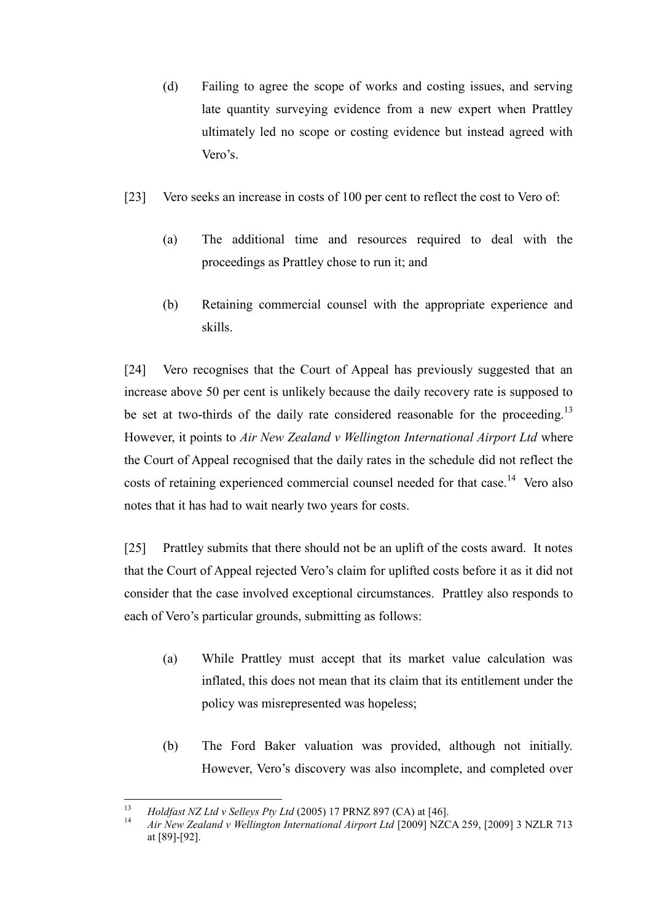- (d) Failing to agree the scope of works and costing issues, and serving late quantity surveying evidence from a new expert when Prattley ultimately led no scope or costing evidence but instead agreed with Vero's.
- [23] Vero seeks an increase in costs of 100 per cent to reflect the cost to Vero of:
	- (a) The additional time and resources required to deal with the proceedings as Prattley chose to run it; and
	- (b) Retaining commercial counsel with the appropriate experience and skills.

[24] Vero recognises that the Court of Appeal has previously suggested that an increase above 50 per cent is unlikely because the daily recovery rate is supposed to be set at two-thirds of the daily rate considered reasonable for the proceeding.<sup>13</sup> However, it points to *Air New Zealand v Wellington International Airport Ltd* where the Court of Appeal recognised that the daily rates in the schedule did not reflect the costs of retaining experienced commercial counsel needed for that case.<sup>14</sup> Vero also notes that it has had to wait nearly two years for costs.

[25] Prattley submits that there should not be an uplift of the costs award. It notes that the Court of Appeal rejected Vero's claim for uplifted costs before it as it did not consider that the case involved exceptional circumstances. Prattley also responds to each of Vero's particular grounds, submitting as follows:

- (a) While Prattley must accept that its market value calculation was inflated, this does not mean that its claim that its entitlement under the policy was misrepresented was hopeless;
- (b) The Ford Baker valuation was provided, although not initially. However, Vero's discovery was also incomplete, and completed over

<sup>13</sup> <sup>13</sup> *Holdfast NZ Ltd v Selleys Pty Ltd* (2005) 17 PRNZ 897 (CA) at [46].

<sup>14</sup> *Air New Zealand v Wellington International Airport Ltd* [2009] NZCA 259, [2009] 3 NZLR 713 at [89]-[92].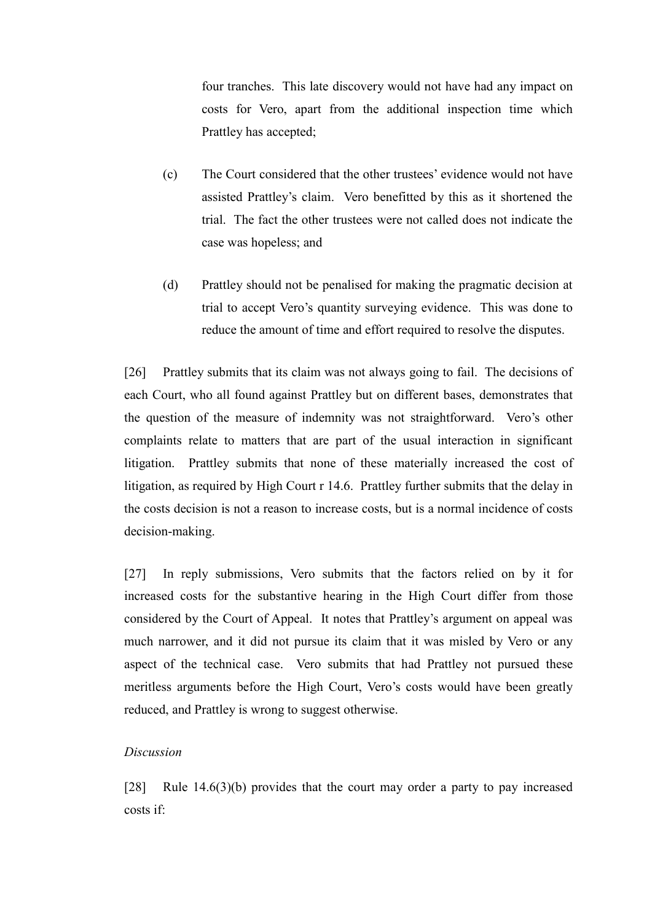four tranches. This late discovery would not have had any impact on costs for Vero, apart from the additional inspection time which Prattley has accepted;

- (c) The Court considered that the other trustees' evidence would not have assisted Prattley's claim. Vero benefitted by this as it shortened the trial. The fact the other trustees were not called does not indicate the case was hopeless; and
- (d) Prattley should not be penalised for making the pragmatic decision at trial to accept Vero's quantity surveying evidence. This was done to reduce the amount of time and effort required to resolve the disputes.

[26] Prattley submits that its claim was not always going to fail. The decisions of each Court, who all found against Prattley but on different bases, demonstrates that the question of the measure of indemnity was not straightforward. Vero's other complaints relate to matters that are part of the usual interaction in significant litigation. Prattley submits that none of these materially increased the cost of litigation, as required by High Court r 14.6. Prattley further submits that the delay in the costs decision is not a reason to increase costs, but is a normal incidence of costs decision-making.

[27] In reply submissions, Vero submits that the factors relied on by it for increased costs for the substantive hearing in the High Court differ from those considered by the Court of Appeal. It notes that Prattley's argument on appeal was much narrower, and it did not pursue its claim that it was misled by Vero or any aspect of the technical case. Vero submits that had Prattley not pursued these meritless arguments before the High Court, Vero's costs would have been greatly reduced, and Prattley is wrong to suggest otherwise.

### *Discussion*

[28] Rule 14.6(3)(b) provides that the court may order a party to pay increased costs if: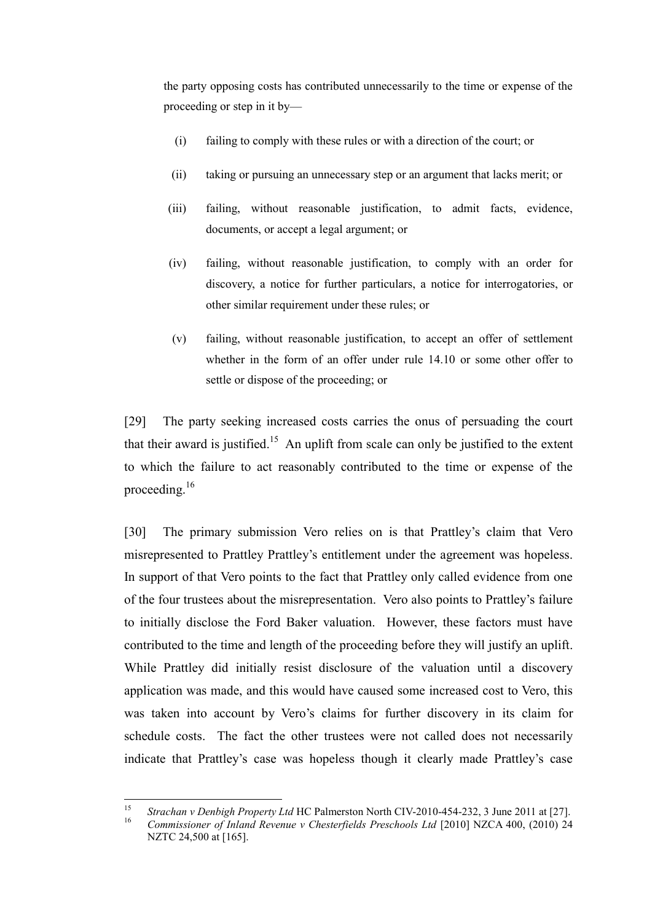the party opposing costs has contributed unnecessarily to the time or expense of the proceeding or step in it by—

- (i) failing to comply with these rules or with a direction of the court; or
- (ii) taking or pursuing an unnecessary step or an argument that lacks merit; or
- (iii) failing, without reasonable justification, to admit facts, evidence, documents, or accept a legal argument; or
- (iv) failing, without reasonable justification, to comply with an order for discovery, a notice for further particulars, a notice for interrogatories, or other similar requirement under these rules; or
- (v) failing, without reasonable justification, to accept an offer of settlement whether in the form of an offer under rule 14.10 or some other offer to settle or dispose of the proceeding; or

[29] The party seeking increased costs carries the onus of persuading the court that their award is justified.<sup>15</sup> An uplift from scale can only be justified to the extent to which the failure to act reasonably contributed to the time or expense of the proceeding.<sup>16</sup>

[30] The primary submission Vero relies on is that Prattley's claim that Vero misrepresented to Prattley Prattley's entitlement under the agreement was hopeless. In support of that Vero points to the fact that Prattley only called evidence from one of the four trustees about the misrepresentation. Vero also points to Prattley's failure to initially disclose the Ford Baker valuation. However, these factors must have contributed to the time and length of the proceeding before they will justify an uplift. While Prattley did initially resist disclosure of the valuation until a discovery application was made, and this would have caused some increased cost to Vero, this was taken into account by Vero's claims for further discovery in its claim for schedule costs. The fact the other trustees were not called does not necessarily indicate that Prattley's case was hopeless though it clearly made Prattley's case

<sup>15</sup> <sup>15</sup> *Strachan v Denbigh Property Ltd* HC Palmerston North CIV-2010-454-232, 3 June 2011 at [27].

<sup>16</sup> *Commissioner of Inland Revenue v Chesterfields Preschools Ltd* [2010] NZCA 400, (2010) 24 NZTC 24,500 at [165].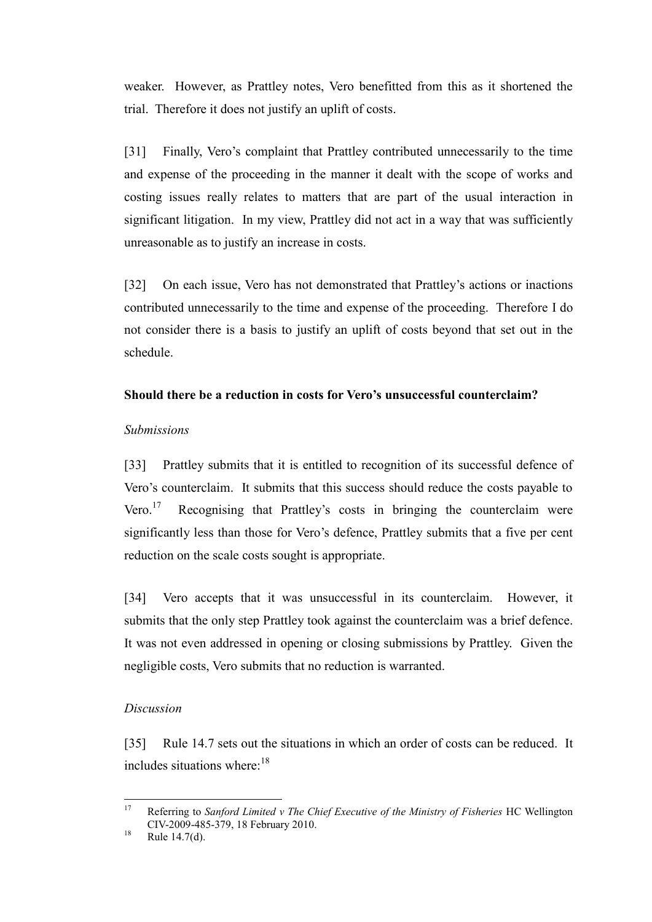weaker. However, as Prattley notes, Vero benefitted from this as it shortened the trial. Therefore it does not justify an uplift of costs.

[31] Finally, Vero's complaint that Prattley contributed unnecessarily to the time and expense of the proceeding in the manner it dealt with the scope of works and costing issues really relates to matters that are part of the usual interaction in significant litigation. In my view, Prattley did not act in a way that was sufficiently unreasonable as to justify an increase in costs.

[32] On each issue, Vero has not demonstrated that Prattley's actions or inactions contributed unnecessarily to the time and expense of the proceeding. Therefore I do not consider there is a basis to justify an uplift of costs beyond that set out in the schedule.

### **Should there be a reduction in costs for Vero's unsuccessful counterclaim?**

### *Submissions*

[33] Prattley submits that it is entitled to recognition of its successful defence of Vero's counterclaim. It submits that this success should reduce the costs payable to Vero. $17$  Recognising that Prattley's costs in bringing the counterclaim were significantly less than those for Vero's defence, Prattley submits that a five per cent reduction on the scale costs sought is appropriate.

[34] Vero accepts that it was unsuccessful in its counterclaim. However, it submits that the only step Prattley took against the counterclaim was a brief defence. It was not even addressed in opening or closing submissions by Prattley. Given the negligible costs, Vero submits that no reduction is warranted.

### *Discussion*

[35] Rule 14.7 sets out the situations in which an order of costs can be reduced. It includes situations where: $18$ 

<sup>17</sup> <sup>17</sup> Referring to *Sanford Limited v The Chief Executive of the Ministry of Fisheries* HC Wellington CIV-2009-485-379, 18 February 2010.

 $18$  Rule 14.7(d).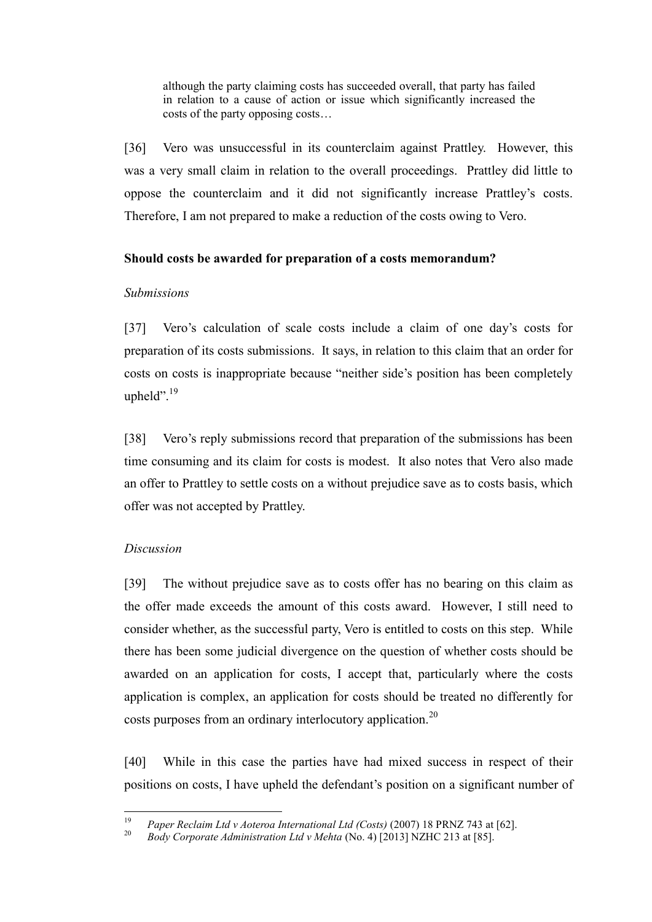although the party claiming costs has succeeded overall, that party has failed in relation to a cause of action or issue which significantly increased the costs of the party opposing costs…

[36] Vero was unsuccessful in its counterclaim against Prattley. However, this was a very small claim in relation to the overall proceedings. Prattley did little to oppose the counterclaim and it did not significantly increase Prattley's costs. Therefore, I am not prepared to make a reduction of the costs owing to Vero.

### **Should costs be awarded for preparation of a costs memorandum?**

### *Submissions*

[37] Vero's calculation of scale costs include a claim of one day's costs for preparation of its costs submissions. It says, in relation to this claim that an order for costs on costs is inappropriate because "neither side's position has been completely upheld". 19

[38] Vero's reply submissions record that preparation of the submissions has been time consuming and its claim for costs is modest. It also notes that Vero also made an offer to Prattley to settle costs on a without prejudice save as to costs basis, which offer was not accepted by Prattley.

### *Discussion*

[39] The without prejudice save as to costs offer has no bearing on this claim as the offer made exceeds the amount of this costs award. However, I still need to consider whether, as the successful party, Vero is entitled to costs on this step. While there has been some judicial divergence on the question of whether costs should be awarded on an application for costs, I accept that, particularly where the costs application is complex, an application for costs should be treated no differently for costs purposes from an ordinary interlocutory application.<sup>20</sup>

[40] While in this case the parties have had mixed success in respect of their positions on costs, I have upheld the defendant's position on a significant number of

<sup>19</sup> <sup>19</sup> *Paper Reclaim Ltd v Aoteroa International Ltd (Costs)* (2007) 18 PRNZ 743 at [62].

<sup>20</sup> *Body Corporate Administration Ltd v Mehta* (No. 4) [2013] NZHC 213 at [85].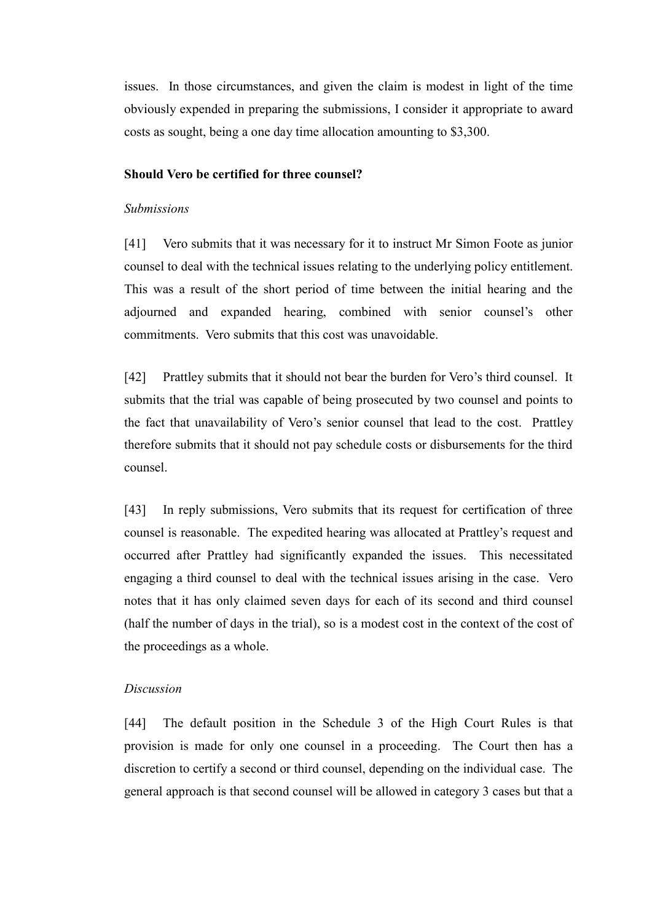issues. In those circumstances, and given the claim is modest in light of the time obviously expended in preparing the submissions, I consider it appropriate to award costs as sought, being a one day time allocation amounting to \$3,300.

#### **Should Vero be certified for three counsel?**

#### *Submissions*

[41] Vero submits that it was necessary for it to instruct Mr Simon Foote as junior counsel to deal with the technical issues relating to the underlying policy entitlement. This was a result of the short period of time between the initial hearing and the adjourned and expanded hearing, combined with senior counsel's other commitments. Vero submits that this cost was unavoidable.

[42] Prattley submits that it should not bear the burden for Vero's third counsel. It submits that the trial was capable of being prosecuted by two counsel and points to the fact that unavailability of Vero's senior counsel that lead to the cost. Prattley therefore submits that it should not pay schedule costs or disbursements for the third counsel.

[43] In reply submissions, Vero submits that its request for certification of three counsel is reasonable. The expedited hearing was allocated at Prattley's request and occurred after Prattley had significantly expanded the issues. This necessitated engaging a third counsel to deal with the technical issues arising in the case. Vero notes that it has only claimed seven days for each of its second and third counsel (half the number of days in the trial), so is a modest cost in the context of the cost of the proceedings as a whole.

#### *Discussion*

[44] The default position in the Schedule 3 of the High Court Rules is that provision is made for only one counsel in a proceeding. The Court then has a discretion to certify a second or third counsel, depending on the individual case. The general approach is that second counsel will be allowed in category 3 cases but that a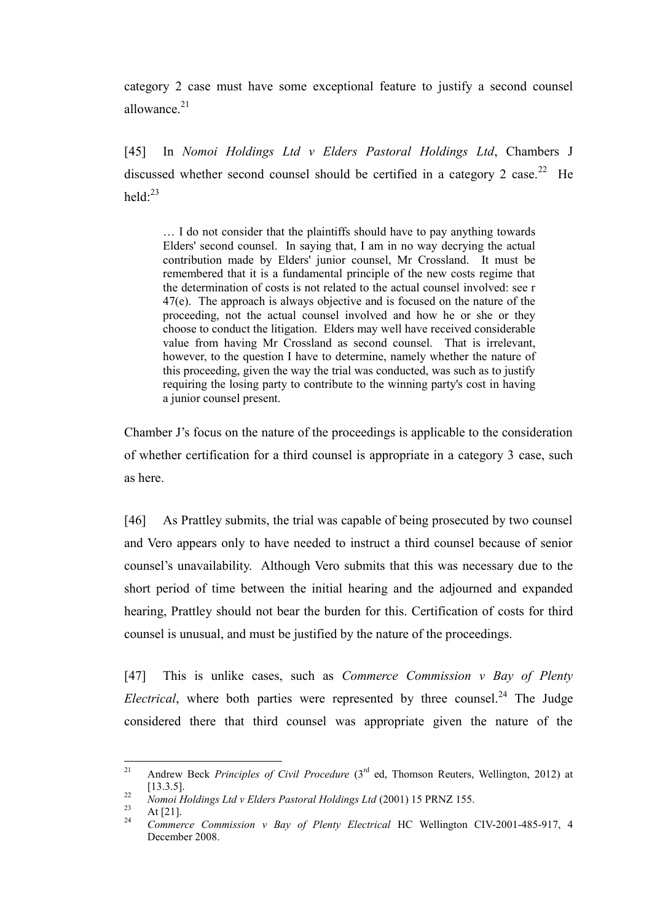category 2 case must have some exceptional feature to justify a second counsel allowance $21$ 

[45] In *Nomoi Holdings Ltd v Elders Pastoral Holdings Ltd*, Chambers J discussed whether second counsel should be certified in a category 2 case.<sup>22</sup> He held $\cdot^{23}$ 

… I do not consider that the plaintiffs should have to pay anything towards Elders' second counsel. In saying that, I am in no way decrying the actual contribution made by Elders' junior counsel, Mr Crossland. It must be remembered that it is a fundamental principle of the new costs regime that the determination of costs is not related to the actual counsel involved: see r 47(e). The approach is always objective and is focused on the nature of the proceeding, not the actual counsel involved and how he or she or they choose to conduct the litigation. Elders may well have received considerable value from having Mr Crossland as second counsel. That is irrelevant, however, to the question I have to determine, namely whether the nature of this proceeding, given the way the trial was conducted, was such as to justify requiring the losing party to contribute to the winning party's cost in having a junior counsel present.

Chamber J's focus on the nature of the proceedings is applicable to the consideration of whether certification for a third counsel is appropriate in a category 3 case, such as here.

[46] As Prattley submits, the trial was capable of being prosecuted by two counsel and Vero appears only to have needed to instruct a third counsel because of senior counsel's unavailability. Although Vero submits that this was necessary due to the short period of time between the initial hearing and the adjourned and expanded hearing, Prattley should not bear the burden for this. Certification of costs for third counsel is unusual, and must be justified by the nature of the proceedings.

[47] This is unlike cases, such as *Commerce Commission v Bay of Plenty Electrical*, where both parties were represented by three counsel.<sup>24</sup> The Judge considered there that third counsel was appropriate given the nature of the

<sup>21</sup> Andrew Beck *Principles of Civil Procedure* (3<sup>rd</sup> ed, Thomson Reuters, Wellington, 2012) at [13.3.5].

<sup>22</sup> *Nomoi Holdings Ltd v Elders Pastoral Holdings Ltd* (2001) 15 PRNZ 155.

 $\frac{23}{24}$  At [21].

<sup>24</sup> *Commerce Commission v Bay of Plenty Electrical* HC Wellington CIV-2001-485-917, 4 December 2008.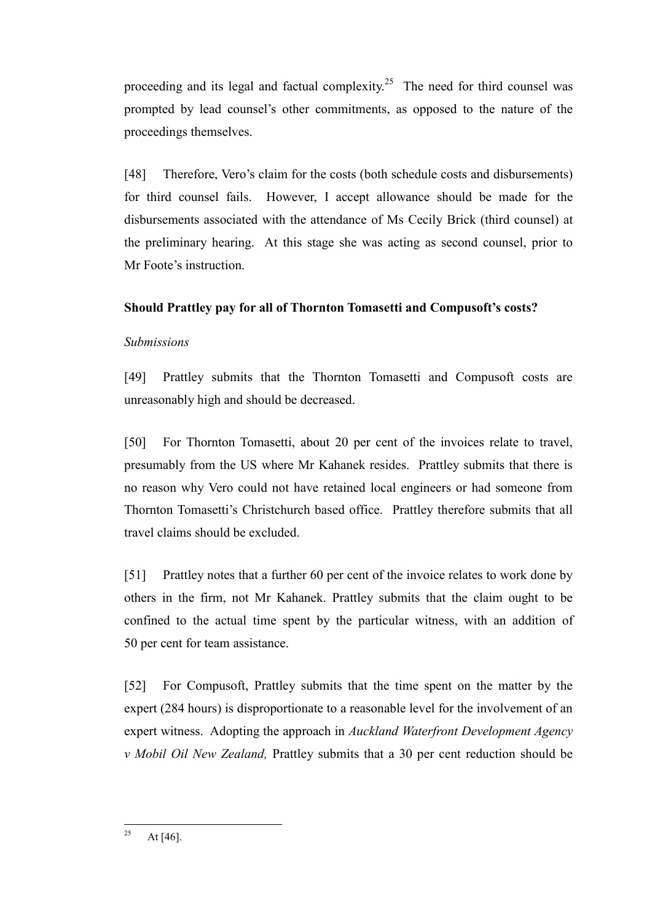proceeding and its legal and factual complexity.<sup>25</sup> The need for third counsel was prompted by lead counsel's other commitments, as opposed to the nature of the proceedings themselves.

[48] Therefore, Vero's claim for the costs (both schedule costs and disbursements) for third counsel fails. However, I accept allowance should be made for the disbursements associated with the attendance of Ms Cecily Brick (third counsel) at the preliminary hearing. At this stage she was acting as second counsel, prior to Mr Foote's instruction.

### **Should Prattley pay for all of Thornton Tomasetti and Compusoft's costs?**

### *Submissions*

[49] Prattley submits that the Thornton Tomasetti and Compusoft costs are unreasonably high and should be decreased.

[50] For Thornton Tomasetti, about 20 per cent of the invoices relate to travel, presumably from the US where Mr Kahanek resides. Prattley submits that there is no reason why Vero could not have retained local engineers or had someone from Thornton Tomasetti's Christchurch based office. Prattley therefore submits that all travel claims should be excluded.

[51] Prattley notes that a further 60 per cent of the invoice relates to work done by others in the firm, not Mr Kahanek. Prattley submits that the claim ought to be confined to the actual time spent by the particular witness, with an addition of 50 per cent for team assistance.

[52] For Compusoft, Prattley submits that the time spent on the matter by the expert (284 hours) is disproportionate to a reasonable level for the involvement of an expert witness. Adopting the approach in *Auckland Waterfront Development Agency v Mobil Oil New Zealand,* Prattley submits that a 30 per cent reduction should be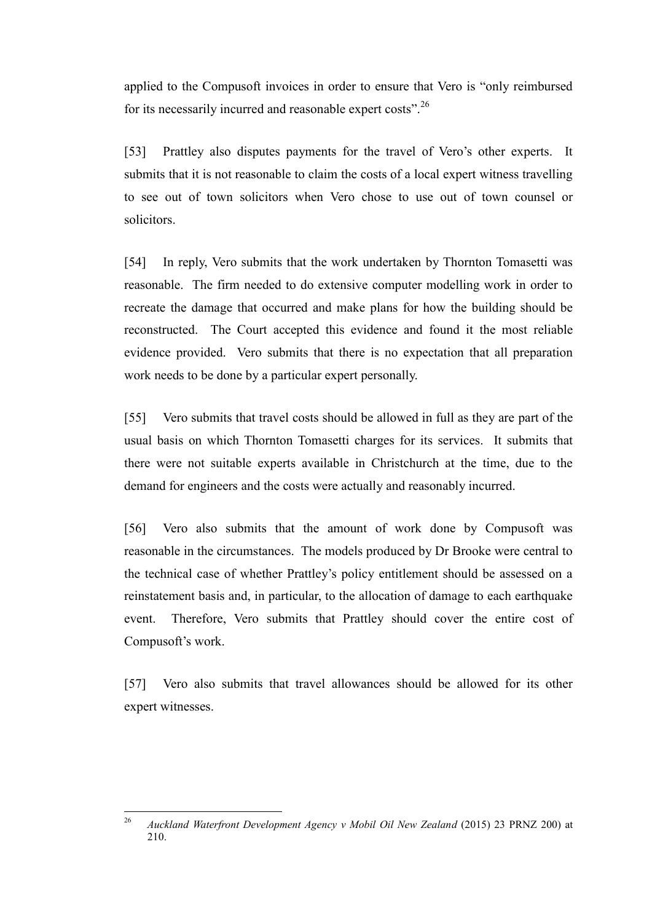applied to the Compusoft invoices in order to ensure that Vero is "only reimbursed for its necessarily incurred and reasonable expert costs".<sup>26</sup>

[53] Prattley also disputes payments for the travel of Vero's other experts. It submits that it is not reasonable to claim the costs of a local expert witness travelling to see out of town solicitors when Vero chose to use out of town counsel or solicitors.

[54] In reply, Vero submits that the work undertaken by Thornton Tomasetti was reasonable. The firm needed to do extensive computer modelling work in order to recreate the damage that occurred and make plans for how the building should be reconstructed. The Court accepted this evidence and found it the most reliable evidence provided. Vero submits that there is no expectation that all preparation work needs to be done by a particular expert personally.

[55] Vero submits that travel costs should be allowed in full as they are part of the usual basis on which Thornton Tomasetti charges for its services. It submits that there were not suitable experts available in Christchurch at the time, due to the demand for engineers and the costs were actually and reasonably incurred.

[56] Vero also submits that the amount of work done by Compusoft was reasonable in the circumstances. The models produced by Dr Brooke were central to the technical case of whether Prattley's policy entitlement should be assessed on a reinstatement basis and, in particular, to the allocation of damage to each earthquake event. Therefore, Vero submits that Prattley should cover the entire cost of Compusoft's work.

[57] Vero also submits that travel allowances should be allowed for its other expert witnesses.

 $\overline{26}$ <sup>26</sup> *Auckland Waterfront Development Agency v Mobil Oil New Zealand* (2015) 23 PRNZ 200) at 210.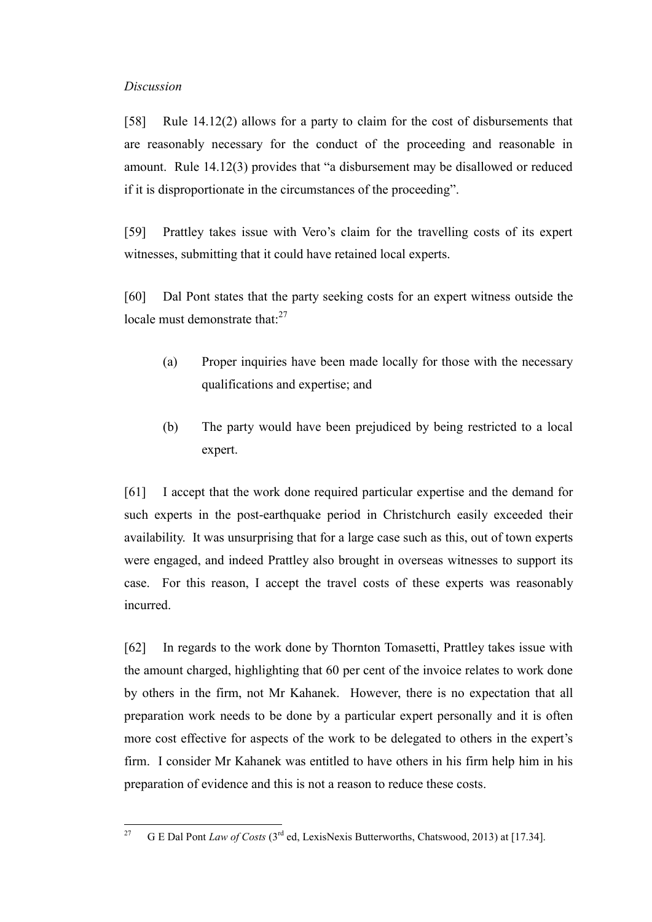### *Discussion*

[58] Rule 14.12(2) allows for a party to claim for the cost of disbursements that are reasonably necessary for the conduct of the proceeding and reasonable in amount. Rule 14.12(3) provides that "a disbursement may be disallowed or reduced if it is disproportionate in the circumstances of the proceeding".

[59] Prattley takes issue with Vero's claim for the travelling costs of its expert witnesses, submitting that it could have retained local experts.

[60] Dal Pont states that the party seeking costs for an expert witness outside the locale must demonstrate that: $27$ 

- (a) Proper inquiries have been made locally for those with the necessary qualifications and expertise; and
- (b) The party would have been prejudiced by being restricted to a local expert.

[61] I accept that the work done required particular expertise and the demand for such experts in the post-earthquake period in Christchurch easily exceeded their availability. It was unsurprising that for a large case such as this, out of town experts were engaged, and indeed Prattley also brought in overseas witnesses to support its case. For this reason, I accept the travel costs of these experts was reasonably incurred.

[62] In regards to the work done by Thornton Tomasetti, Prattley takes issue with the amount charged, highlighting that 60 per cent of the invoice relates to work done by others in the firm, not Mr Kahanek. However, there is no expectation that all preparation work needs to be done by a particular expert personally and it is often more cost effective for aspects of the work to be delegated to others in the expert's firm. I consider Mr Kahanek was entitled to have others in his firm help him in his preparation of evidence and this is not a reason to reduce these costs.

<sup>27</sup> <sup>27</sup> G E Dal Pont *Law of Costs* (3rd ed, LexisNexis Butterworths, Chatswood, 2013) at [17.34].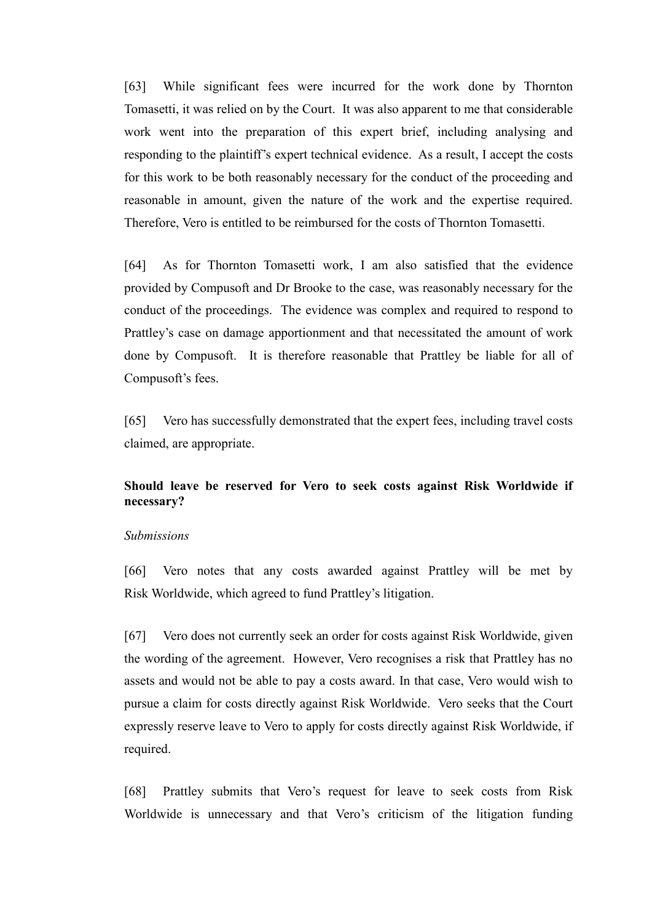[63] While significant fees were incurred for the work done by Thornton Tomasetti, it was relied on by the Court. It was also apparent to me that considerable work went into the preparation of this expert brief, including analysing and responding to the plaintiff's expert technical evidence. As a result, I accept the costs for this work to be both reasonably necessary for the conduct of the proceeding and reasonable in amount, given the nature of the work and the expertise required. Therefore, Vero is entitled to be reimbursed for the costs of Thornton Tomasetti.

[64] As for Thornton Tomasetti work, I am also satisfied that the evidence provided by Compusoft and Dr Brooke to the case, was reasonably necessary for the conduct of the proceedings. The evidence was complex and required to respond to Prattley's case on damage apportionment and that necessitated the amount of work done by Compusoft. It is therefore reasonable that Prattley be liable for all of Compusoft's fees.

[65] Vero has successfully demonstrated that the expert fees, including travel costs claimed, are appropriate.

### **Should leave be reserved for Vero to seek costs against Risk Worldwide if necessary?**

#### *Submissions*

[66] Vero notes that any costs awarded against Prattley will be met by Risk Worldwide, which agreed to fund Prattley's litigation.

[67] Vero does not currently seek an order for costs against Risk Worldwide, given the wording of the agreement. However, Vero recognises a risk that Prattley has no assets and would not be able to pay a costs award. In that case, Vero would wish to pursue a claim for costs directly against Risk Worldwide. Vero seeks that the Court expressly reserve leave to Vero to apply for costs directly against Risk Worldwide, if required.

[68] Prattley submits that Vero's request for leave to seek costs from Risk Worldwide is unnecessary and that Vero's criticism of the litigation funding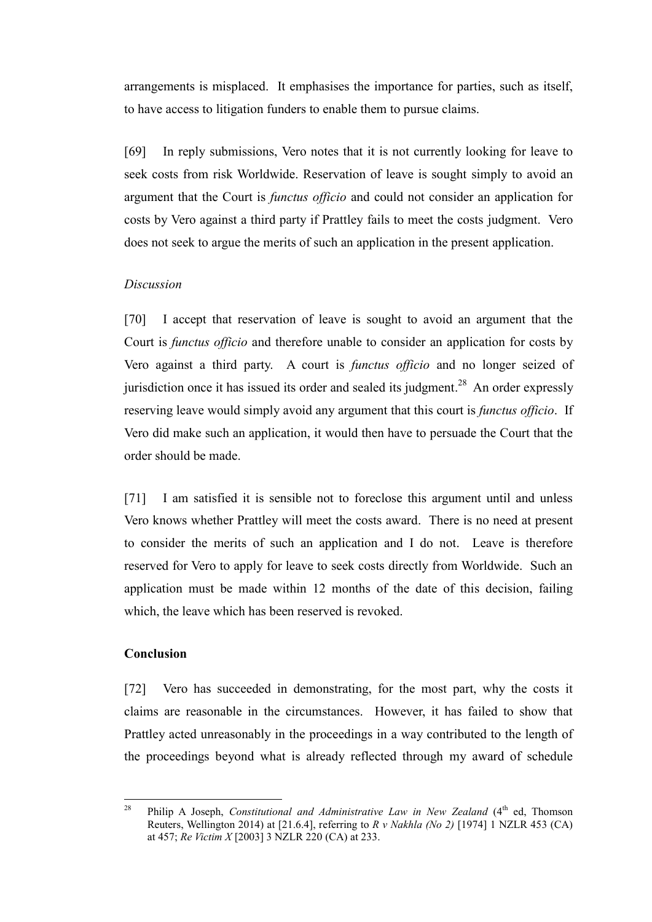arrangements is misplaced. It emphasises the importance for parties, such as itself, to have access to litigation funders to enable them to pursue claims.

[69] In reply submissions, Vero notes that it is not currently looking for leave to seek costs from risk Worldwide. Reservation of leave is sought simply to avoid an argument that the Court is *functus officio* and could not consider an application for costs by Vero against a third party if Prattley fails to meet the costs judgment. Vero does not seek to argue the merits of such an application in the present application.

#### *Discussion*

[70] I accept that reservation of leave is sought to avoid an argument that the Court is *functus officio* and therefore unable to consider an application for costs by Vero against a third party. A court is *functus officio* and no longer seized of jurisdiction once it has issued its order and sealed its judgment.<sup>28</sup> An order expressly reserving leave would simply avoid any argument that this court is *functus officio*. If Vero did make such an application, it would then have to persuade the Court that the order should be made.

[71] I am satisfied it is sensible not to foreclose this argument until and unless Vero knows whether Prattley will meet the costs award. There is no need at present to consider the merits of such an application and I do not. Leave is therefore reserved for Vero to apply for leave to seek costs directly from Worldwide. Such an application must be made within 12 months of the date of this decision, failing which, the leave which has been reserved is revoked.

### **Conclusion**

[72] Vero has succeeded in demonstrating, for the most part, why the costs it claims are reasonable in the circumstances. However, it has failed to show that Prattley acted unreasonably in the proceedings in a way contributed to the length of the proceedings beyond what is already reflected through my award of schedule

<sup>28</sup> Philip A Joseph, *Constitutional and Administrative Law in New Zealand* (4<sup>th</sup> ed, Thomson Reuters, Wellington 2014) at [21.6.4], referring to *R v Nakhla (No 2)* [1974] 1 NZLR 453 (CA) at 457; *Re Victim X* [2003] 3 NZLR 220 (CA) at 233.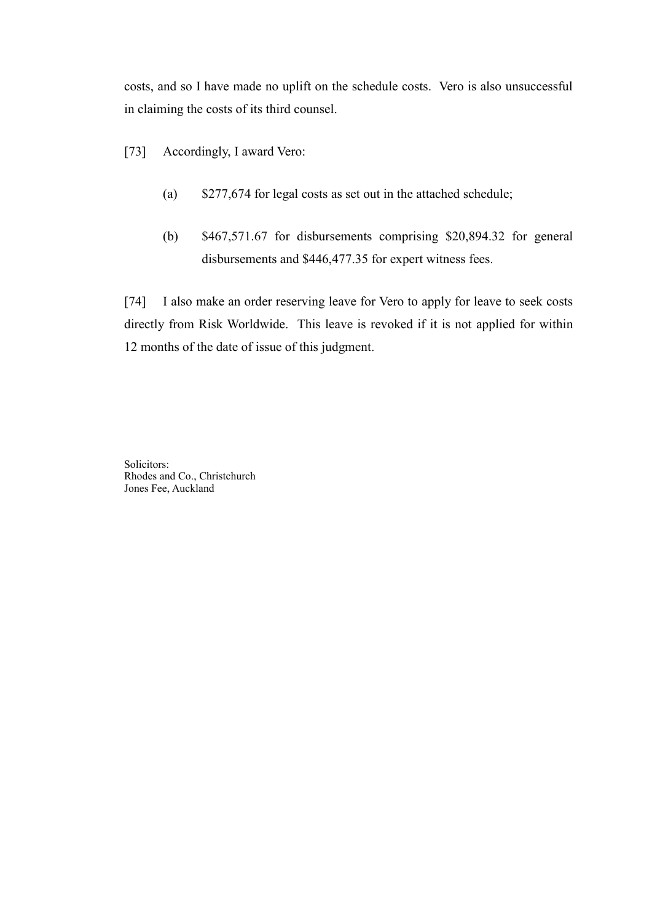costs, and so I have made no uplift on the schedule costs. Vero is also unsuccessful in claiming the costs of its third counsel.

- [73] Accordingly, I award Vero:
	- (a) \$277,674 for legal costs as set out in the attached schedule;
	- (b) \$467,571.67 for disbursements comprising \$20,894.32 for general disbursements and \$446,477.35 for expert witness fees.

[74] I also make an order reserving leave for Vero to apply for leave to seek costs directly from Risk Worldwide. This leave is revoked if it is not applied for within 12 months of the date of issue of this judgment.

Solicitors: Rhodes and Co., Christchurch Jones Fee, Auckland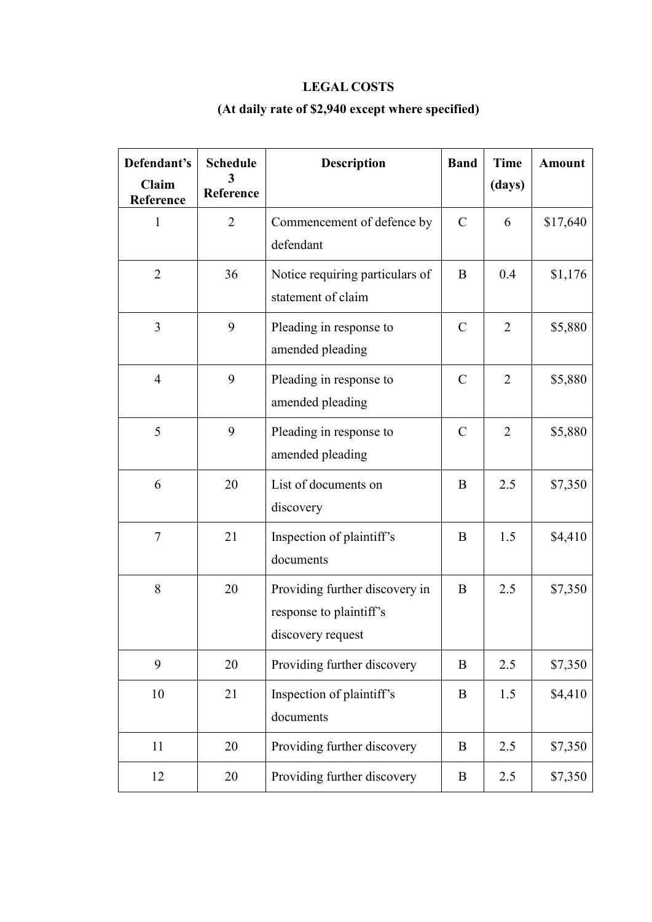# **LEGAL COSTS**

# **(At daily rate of \$2,940 except where specified)**

| Defendant's<br>Claim<br>Reference | <b>Schedule</b><br>Reference | <b>Description</b>                                                             | <b>Band</b>   | <b>Time</b><br>(days) | <b>Amount</b> |
|-----------------------------------|------------------------------|--------------------------------------------------------------------------------|---------------|-----------------------|---------------|
| 1                                 | $\overline{2}$               | Commencement of defence by<br>defendant                                        | $\mathcal{C}$ | 6                     | \$17,640      |
| $\overline{2}$                    | 36                           | Notice requiring particulars of<br>statement of claim                          | B             | 0.4                   | \$1,176       |
| 3                                 | 9                            | Pleading in response to<br>amended pleading                                    | $\mathcal{C}$ | $\overline{2}$        | \$5,880       |
| $\overline{4}$                    | 9                            | Pleading in response to<br>amended pleading                                    | $\mathcal{C}$ | $\overline{2}$        | \$5,880       |
| 5                                 | 9                            | Pleading in response to<br>amended pleading                                    | $\mathcal{C}$ | $\overline{2}$        | \$5,880       |
| 6                                 | 20                           | List of documents on<br>discovery                                              | B             | 2.5                   | \$7,350       |
| $\tau$                            | 21                           | Inspection of plaintiff's<br>documents                                         | B             | 1.5                   | \$4,410       |
| 8                                 | 20                           | Providing further discovery in<br>response to plaintiff's<br>discovery request | B             | 2.5                   | \$7,350       |
| 9                                 | 20                           | Providing further discovery                                                    | B             | 2.5                   | \$7,350       |
| 10                                | 21                           | Inspection of plaintiff's<br>documents                                         | B             | 1.5                   | \$4,410       |
| 11                                | 20                           | Providing further discovery                                                    | B             | 2.5                   | \$7,350       |
| 12                                | 20                           | Providing further discovery                                                    | B             | 2.5                   | \$7,350       |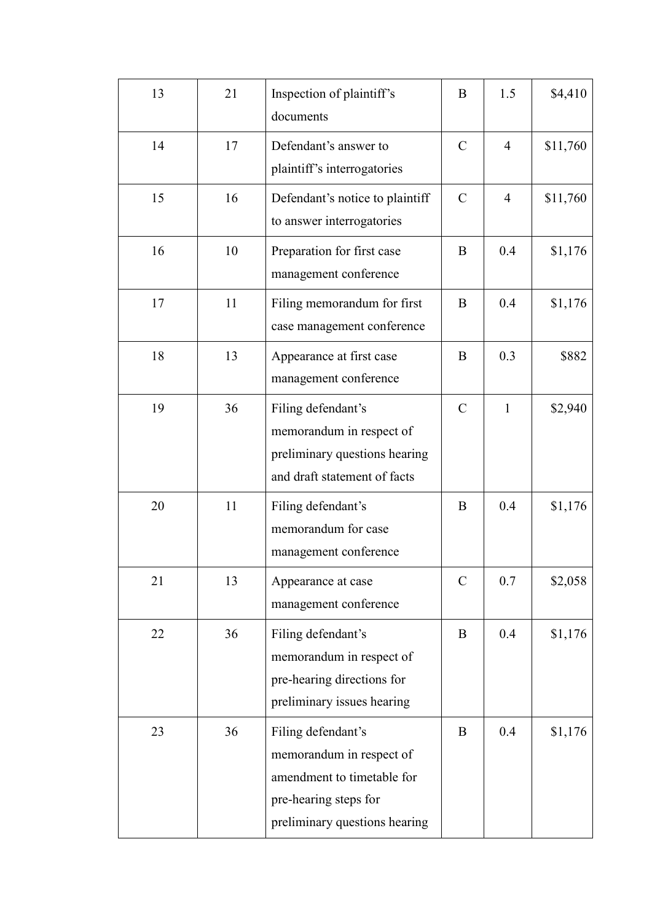| 13 | 21 | Inspection of plaintiff's<br>documents                                                                                                 | B             | 1.5            | \$4,410  |
|----|----|----------------------------------------------------------------------------------------------------------------------------------------|---------------|----------------|----------|
| 14 | 17 | Defendant's answer to<br>plaintiff's interrogatories                                                                                   | $\mathcal{C}$ | $\overline{4}$ | \$11,760 |
| 15 | 16 | Defendant's notice to plaintiff<br>to answer interrogatories                                                                           | $\mathcal{C}$ | $\overline{4}$ | \$11,760 |
| 16 | 10 | Preparation for first case<br>management conference                                                                                    | B             | 0.4            | \$1,176  |
| 17 | 11 | Filing memorandum for first<br>case management conference                                                                              | B             | 0.4            | \$1,176  |
| 18 | 13 | Appearance at first case<br>management conference                                                                                      | B             | 0.3            | \$882    |
| 19 | 36 | Filing defendant's<br>memorandum in respect of<br>preliminary questions hearing<br>and draft statement of facts                        | $\mathcal{C}$ | $\mathbf{1}$   | \$2,940  |
| 20 | 11 | Filing defendant's<br>memorandum for case<br>management conference                                                                     | B             | 0.4            | \$1,176  |
| 21 | 13 | Appearance at case<br>management conference                                                                                            | $\mathcal{C}$ | 0.7            | \$2,058  |
| 22 | 36 | Filing defendant's<br>memorandum in respect of<br>pre-hearing directions for<br>preliminary issues hearing                             | B             | 0.4            | \$1,176  |
| 23 | 36 | Filing defendant's<br>memorandum in respect of<br>amendment to timetable for<br>pre-hearing steps for<br>preliminary questions hearing | B             | 0.4            | \$1,176  |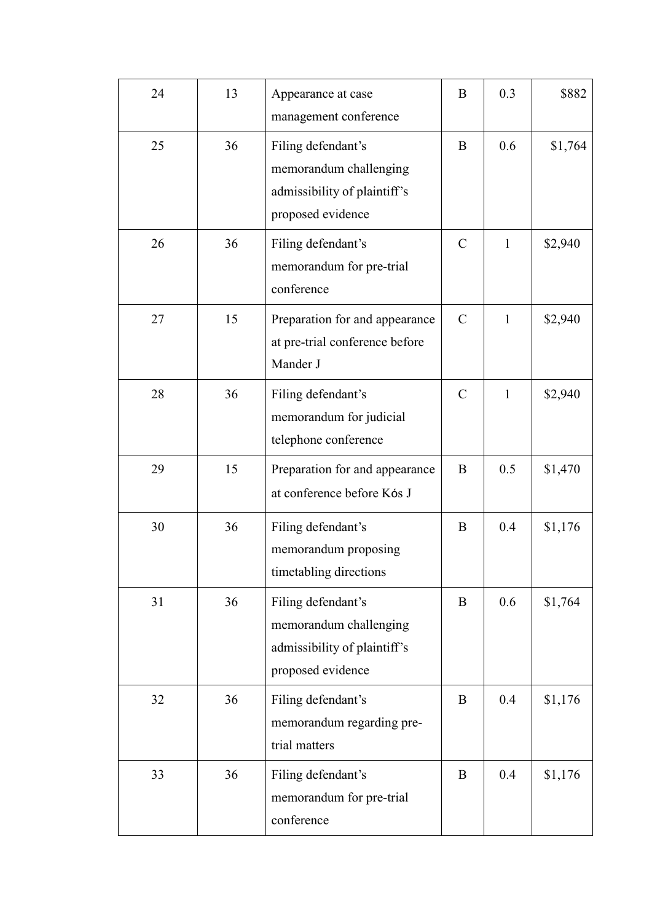| 24 | 13 | Appearance at case<br>management conference                                                       | B             | 0.3          | \$882   |
|----|----|---------------------------------------------------------------------------------------------------|---------------|--------------|---------|
| 25 | 36 | Filing defendant's<br>memorandum challenging<br>admissibility of plaintiff's<br>proposed evidence | B             | 0.6          | \$1,764 |
| 26 | 36 | Filing defendant's<br>memorandum for pre-trial<br>conference                                      | $\mathcal{C}$ | $\mathbf{1}$ | \$2,940 |
| 27 | 15 | Preparation for and appearance<br>at pre-trial conference before<br>Mander J                      | $\mathcal{C}$ | $\mathbf{1}$ | \$2,940 |
| 28 | 36 | Filing defendant's<br>memorandum for judicial<br>telephone conference                             | $\mathcal{C}$ | $\mathbf{1}$ | \$2,940 |
| 29 | 15 | Preparation for and appearance<br>at conference before Kós J                                      | B             | 0.5          | \$1,470 |
| 30 | 36 | Filing defendant's<br>memorandum proposing<br>timetabling directions                              | B             | 0.4          | \$1,176 |
| 31 | 36 | Filing defendant's<br>memorandum challenging<br>admissibility of plaintiff's<br>proposed evidence | B             | 0.6          | \$1,764 |
| 32 | 36 | Filing defendant's<br>memorandum regarding pre-<br>trial matters                                  | B             | 0.4          | \$1,176 |
| 33 | 36 | Filing defendant's<br>memorandum for pre-trial<br>conference                                      | B             | 0.4          | \$1,176 |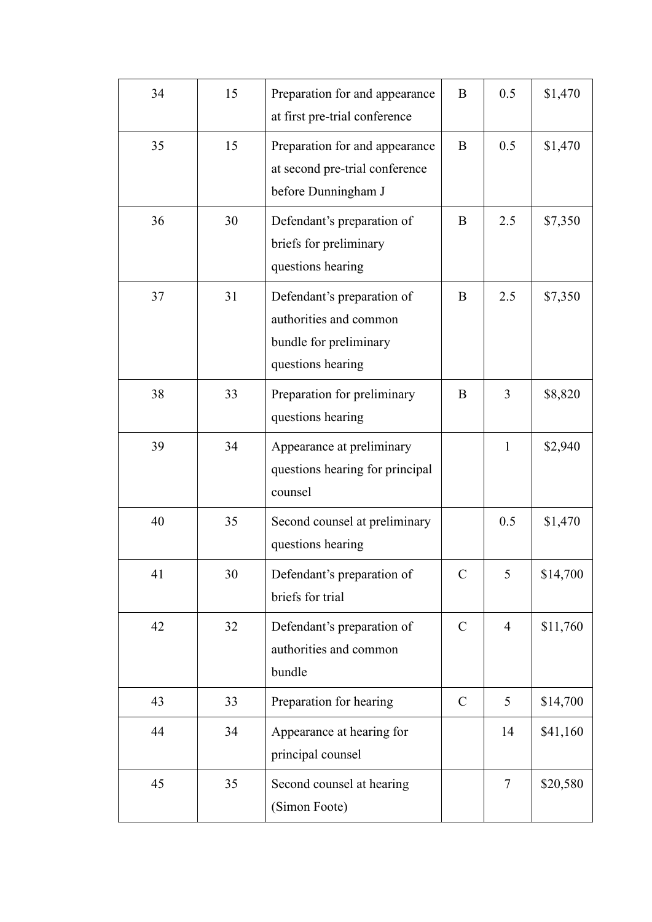| 34 | 15 | Preparation for and appearance<br>at first pre-trial conference                                     | B             | 0.5            | \$1,470  |
|----|----|-----------------------------------------------------------------------------------------------------|---------------|----------------|----------|
| 35 | 15 | Preparation for and appearance<br>at second pre-trial conference<br>before Dunningham J             | B             | 0.5            | \$1,470  |
| 36 | 30 | Defendant's preparation of<br>briefs for preliminary<br>questions hearing                           | B             | 2.5            | \$7,350  |
| 37 | 31 | Defendant's preparation of<br>authorities and common<br>bundle for preliminary<br>questions hearing | B             | 2.5            | \$7,350  |
| 38 | 33 | Preparation for preliminary<br>questions hearing                                                    | B             | 3              | \$8,820  |
| 39 | 34 | Appearance at preliminary<br>questions hearing for principal<br>counsel                             |               | $\mathbf{1}$   | \$2,940  |
| 40 | 35 | Second counsel at preliminary<br>questions hearing                                                  |               | 0.5            | \$1,470  |
| 41 | 30 | Defendant's preparation of<br>briefs for trial                                                      | C             | 5              | \$14,700 |
| 42 | 32 | Defendant's preparation of<br>authorities and common<br>bundle                                      | $\mathcal{C}$ | $\overline{4}$ | \$11,760 |
| 43 | 33 | Preparation for hearing                                                                             | $\mathcal{C}$ | 5              | \$14,700 |
| 44 | 34 | Appearance at hearing for<br>principal counsel                                                      |               | 14             | \$41,160 |
| 45 | 35 | Second counsel at hearing<br>(Simon Foote)                                                          |               | $\tau$         | \$20,580 |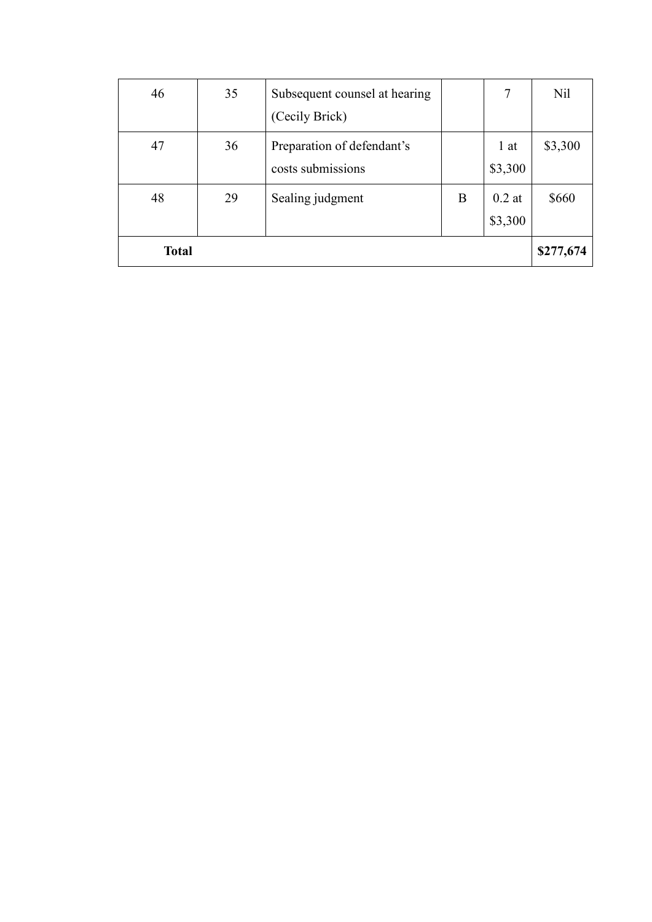| 46           | 35 | Subsequent counsel at hearing |   | 7        | Nil       |
|--------------|----|-------------------------------|---|----------|-----------|
|              |    | (Cecily Brick)                |   |          |           |
| 47           | 36 | Preparation of defendant's    |   | 1 at     | \$3,300   |
|              |    | costs submissions             |   | \$3,300  |           |
| 48           | 29 | Sealing judgment              | B | $0.2$ at | \$660     |
|              |    |                               |   | \$3,300  |           |
| <b>Total</b> |    |                               |   |          | \$277,674 |